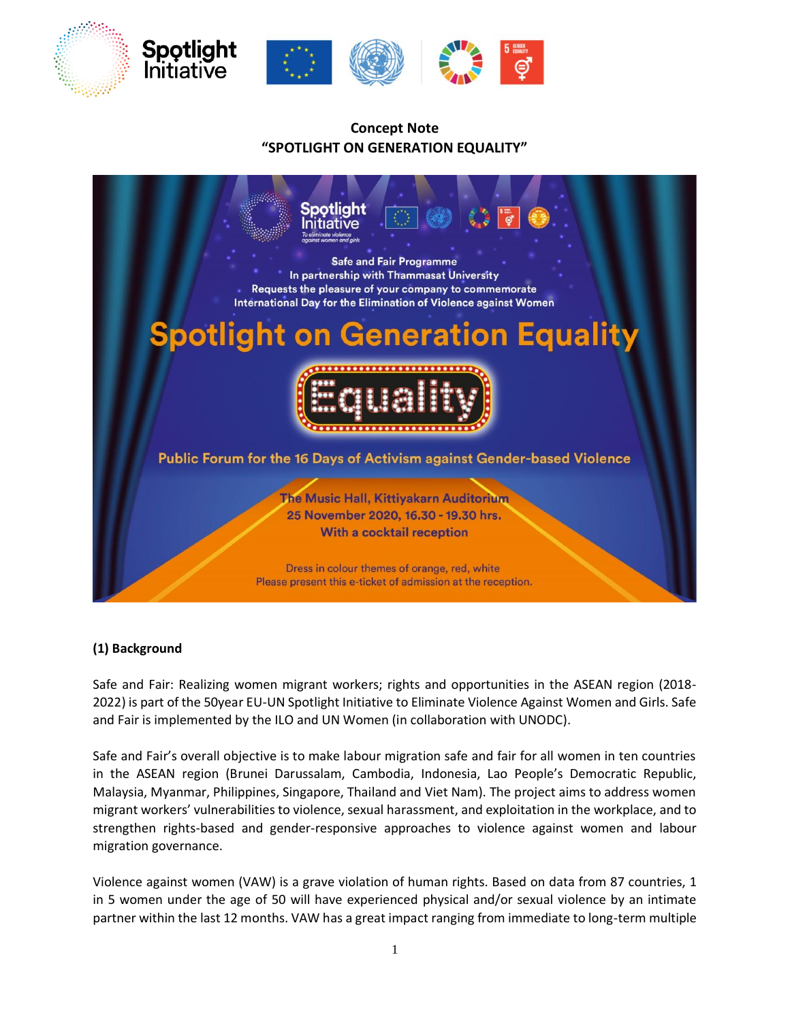

# **Concept Note "SPOTLIGHT ON GENERATION EQUALITY"**



### **(1) Background**

Safe and Fair: Realizing women migrant workers; rights and opportunities in the ASEAN region (2018- 2022) is part of the 50year EU-UN Spotlight Initiative to Eliminate Violence Against Women and Girls. Safe and Fair is implemented by the ILO and UN Women (in collaboration with UNODC).

Safe and Fair's overall objective is to make labour migration safe and fair for all women in ten countries in the ASEAN region (Brunei Darussalam, Cambodia, Indonesia, Lao People's Democratic Republic, Malaysia, Myanmar, Philippines, Singapore, Thailand and Viet Nam). The project aims to address women migrant workers' vulnerabilities to violence, sexual harassment, and exploitation in the workplace, and to strengthen rights-based and gender-responsive approaches to violence against women and labour migration governance.

Violence against women (VAW) is a grave violation of human rights. Based on data from 87 countries, 1 in 5 women under the age of 50 will have experienced physical and/or sexual violence by an intimate partner within the last 12 months. VAW has a great impact ranging from immediate to long-term multiple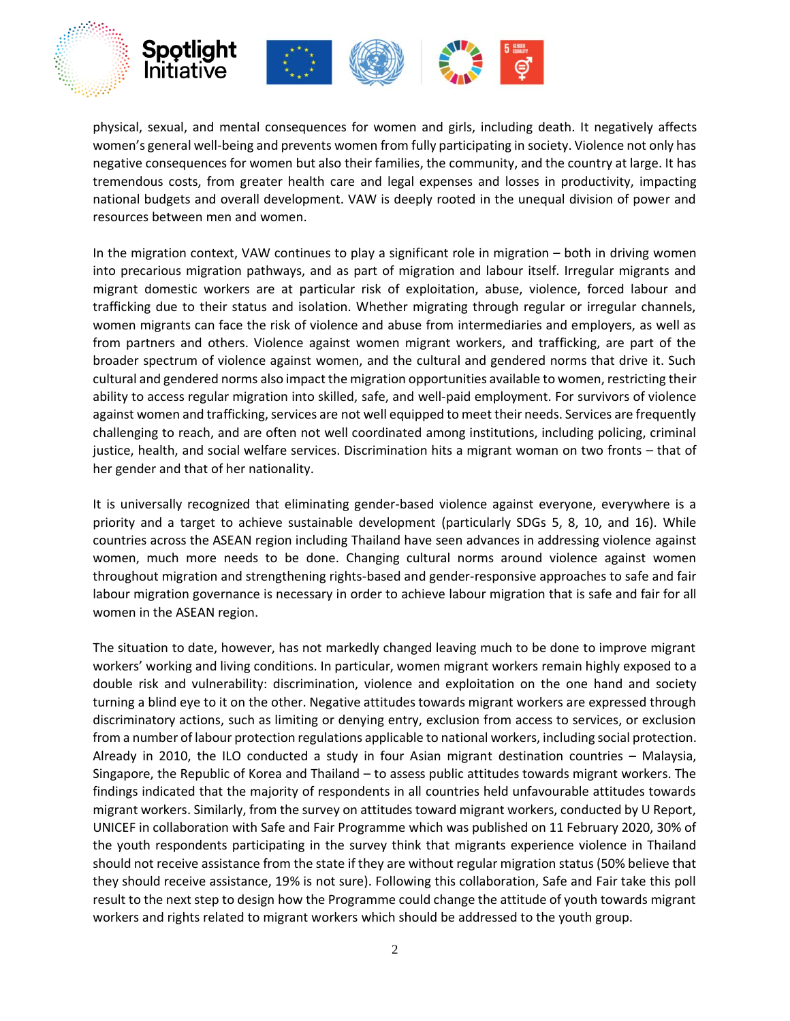

physical, sexual, and mental consequences for women and girls, including death. It negatively affects women's general well-being and prevents women from fully participating in society. Violence not only has negative consequences for women but also their families, the community, and the country at large. It has tremendous costs, from greater health care and legal expenses and losses in productivity, impacting national budgets and overall development. VAW is deeply rooted in the unequal division of power and resources between men and women.

In the migration context, VAW continues to play a significant role in migration – both in driving women into precarious migration pathways, and as part of migration and labour itself. Irregular migrants and migrant domestic workers are at particular risk of exploitation, abuse, violence, forced labour and trafficking due to their status and isolation. Whether migrating through regular or irregular channels, women migrants can face the risk of violence and abuse from intermediaries and employers, as well as from partners and others. Violence against women migrant workers, and trafficking, are part of the broader spectrum of violence against women, and the cultural and gendered norms that drive it. Such cultural and gendered norms also impact the migration opportunities available to women, restricting their ability to access regular migration into skilled, safe, and well-paid employment. For survivors of violence against women and trafficking, services are not well equipped to meet their needs. Services are frequently challenging to reach, and are often not well coordinated among institutions, including policing, criminal justice, health, and social welfare services. Discrimination hits a migrant woman on two fronts – that of her gender and that of her nationality.

It is universally recognized that eliminating gender-based violence against everyone, everywhere is a priority and a target to achieve sustainable development (particularly SDGs 5, 8, 10, and 16). While countries across the ASEAN region including Thailand have seen advances in addressing violence against women, much more needs to be done. Changing cultural norms around violence against women throughout migration and strengthening rights-based and gender-responsive approaches to safe and fair labour migration governance is necessary in order to achieve labour migration that is safe and fair for all women in the ASEAN region.

The situation to date, however, has not markedly changed leaving much to be done to improve migrant workers' working and living conditions. In particular, women migrant workers remain highly exposed to a double risk and vulnerability: discrimination, violence and exploitation on the one hand and society turning a blind eye to it on the other. Negative attitudes towards migrant workers are expressed through discriminatory actions, such as limiting or denying entry, exclusion from access to services, or exclusion from a number of labour protection regulations applicable to national workers, including social protection. Already in 2010, the ILO conducted a study in four Asian migrant destination countries – Malaysia, Singapore, the Republic of Korea and Thailand – to assess public attitudes towards migrant workers. The findings indicated that the majority of respondents in all countries held unfavourable attitudes towards migrant workers. Similarly, from the survey on attitudes toward migrant workers, conducted by U Report, UNICEF in collaboration with Safe and Fair Programme which was published on 11 February 2020, 30% of the youth respondents participating in the survey think that migrants experience violence in Thailand should not receive assistance from the state if they are without regular migration status (50% believe that they should receive assistance, 19% is not sure). Following this collaboration, Safe and Fair take this poll result to the next step to design how the Programme could change the attitude of youth towards migrant workers and rights related to migrant workers which should be addressed to the youth group.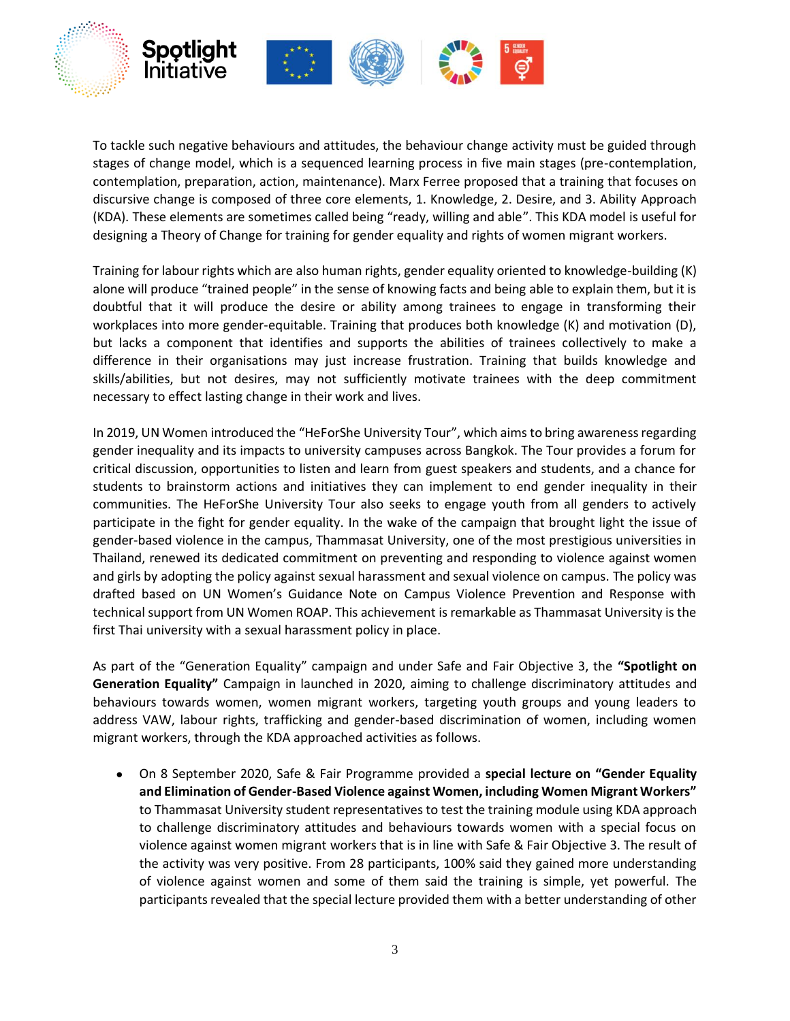

To tackle such negative behaviours and attitudes, the behaviour change activity must be guided through stages of change model, which is a sequenced learning process in five main stages (pre-contemplation, contemplation, preparation, action, maintenance). Marx Ferree proposed that a training that focuses on discursive change is composed of three core elements, 1. Knowledge, 2. Desire, and 3. Ability Approach (KDA). These elements are sometimes called being "ready, willing and able". This KDA model is useful for designing a Theory of Change for training for gender equality and rights of women migrant workers.

Training for labour rights which are also human rights, gender equality oriented to knowledge-building (K) alone will produce "trained people" in the sense of knowing facts and being able to explain them, but it is doubtful that it will produce the desire or ability among trainees to engage in transforming their workplaces into more gender-equitable. Training that produces both knowledge (K) and motivation (D), but lacks a component that identifies and supports the abilities of trainees collectively to make a difference in their organisations may just increase frustration. Training that builds knowledge and skills/abilities, but not desires, may not sufficiently motivate trainees with the deep commitment necessary to effect lasting change in their work and lives.

In 2019, UN Women introduced the "HeForShe University Tour", which aims to bring awareness regarding gender inequality and its impacts to university campuses across Bangkok. The Tour provides a forum for critical discussion, opportunities to listen and learn from guest speakers and students, and a chance for students to brainstorm actions and initiatives they can implement to end gender inequality in their communities. The HeForShe University Tour also seeks to engage youth from all genders to actively participate in the fight for gender equality. In the wake of the campaign that brought light the issue of gender-based violence in the campus, Thammasat University, one of the most prestigious universities in Thailand, renewed its dedicated commitment on preventing and responding to violence against women and girls by adopting the policy against sexual harassment and sexual violence on campus. The policy was drafted based on UN Women's Guidance Note on Campus Violence Prevention and Response with technical support from UN Women ROAP. This achievement is remarkable as Thammasat University is the first Thai university with a sexual harassment policy in place.

As part of the "Generation Equality" campaign and under Safe and Fair Objective 3, the **"Spotlight on Generation Equality"** Campaign in launched in 2020, aiming to challenge discriminatory attitudes and behaviours towards women, women migrant workers, targeting youth groups and young leaders to address VAW, labour rights, trafficking and gender-based discrimination of women, including women migrant workers, through the KDA approached activities as follows.

• On 8 September 2020, Safe & Fair Programme provided a **special lecture on "Gender Equality and Elimination of Gender-Based Violence against Women, including Women Migrant Workers"** to Thammasat University student representatives to test the training module using KDA approach to challenge discriminatory attitudes and behaviours towards women with a special focus on violence against women migrant workers that is in line with Safe & Fair Objective 3. The result of the activity was very positive. From 28 participants, 100% said they gained more understanding of violence against women and some of them said the training is simple, yet powerful. The participants revealed that the special lecture provided them with a better understanding of other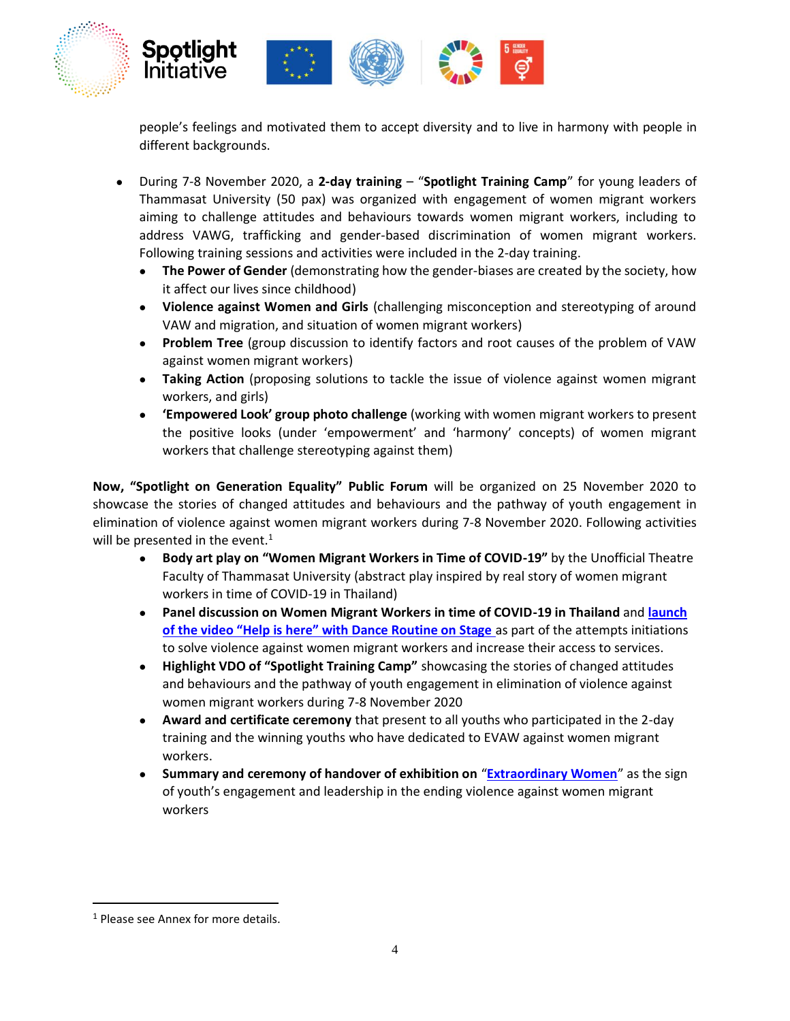

people's feelings and motivated them to accept diversity and to live in harmony with people in different backgrounds.

- During 7-8 November 2020, a **2-day training** "**Spotlight Training Camp**" for young leaders of Thammasat University (50 pax) was organized with engagement of women migrant workers aiming to challenge attitudes and behaviours towards women migrant workers, including to address VAWG, trafficking and gender-based discrimination of women migrant workers. Following training sessions and activities were included in the 2-day training.
	- **The Power of Gender** (demonstrating how the gender-biases are created by the society, how it affect our lives since childhood)
	- **Violence against Women and Girls** (challenging misconception and stereotyping of around VAW and migration, and situation of women migrant workers)
	- **Problem Tree** (group discussion to identify factors and root causes of the problem of VAW against women migrant workers)
	- **Taking Action** (proposing solutions to tackle the issue of violence against women migrant workers, and girls)
	- **'Empowered Look' group photo challenge** (working with women migrant workers to present the positive looks (under 'empowerment' and 'harmony' concepts) of women migrant workers that challenge stereotyping against them)

**Now, "Spotlight on Generation Equality" Public Forum** will be organized on 25 November 2020 to showcase the stories of changed attitudes and behaviours and the pathway of youth engagement in elimination of violence against women migrant workers during 7-8 November 2020. Following activities will be presented in the event. $1$ 

- **Body art play on "Women Migrant Workers in Time of COVID-19"** by the Unofficial Theatre Faculty of Thammasat University (abstract play inspired by real story of women migrant workers in time of COVID-19 in Thailand)
- **Panel discussion on Women Migrant Workers in time of COVID-19 in Thailand** and **[launch](https://nam10.safelinks.protection.outlook.com/?url=https%3A%2F%2Fdrive.google.com%2Ffile%2Fd%2F1y28rhagJof9-izWm8eil3xCGlNqYuZJY%2Fview%3Fusp%3Dsharing&data=04%7C01%7C%7C94a0bbb52a32480b492108d8773edc84%7C2bcd07449e18487d85c3c9a325220be8%7C0%7C0%7C637390459166563353%7CUnknown%7CTWFpbGZsb3d8eyJWIjoiMC4wLjAwMDAiLCJQIjoiV2luMzIiLCJBTiI6Ik1haWwiLCJXVCI6Mn0%3D%7C1000&sdata=UXjhMASbTLj0D7i1e3XRAcf5BTaXiwF7dwuy9QXT6cE%3D&reserved=0)  [of the video "Help is here" with Dance Routine on Stage](https://nam10.safelinks.protection.outlook.com/?url=https%3A%2F%2Fdrive.google.com%2Ffile%2Fd%2F1y28rhagJof9-izWm8eil3xCGlNqYuZJY%2Fview%3Fusp%3Dsharing&data=04%7C01%7C%7C94a0bbb52a32480b492108d8773edc84%7C2bcd07449e18487d85c3c9a325220be8%7C0%7C0%7C637390459166563353%7CUnknown%7CTWFpbGZsb3d8eyJWIjoiMC4wLjAwMDAiLCJQIjoiV2luMzIiLCJBTiI6Ik1haWwiLCJXVCI6Mn0%3D%7C1000&sdata=UXjhMASbTLj0D7i1e3XRAcf5BTaXiwF7dwuy9QXT6cE%3D&reserved=0)** as part of the attempts initiations to solve violence against women migrant workers and increase their access to services.
- **Highlight VDO of "Spotlight Training Camp"** showcasing the stories of changed attitudes and behaviours and the pathway of youth engagement in elimination of violence against women migrant workers during 7-8 November 2020
- **Award and certificate ceremony** that present to all youths who participated in the 2-day training and the winning youths who have dedicated to EVAW against women migrant workers.
- **Summary and ceremony of handover of exhibition on** "**[Extraordinary Women](https://asiapacific.unwomen.org/en/news-and-events/stories/2019/11/journeys-out-of-the-ordinary)**" as the sign of youth's engagement and leadership in the ending violence against women migrant workers

<sup>1</sup> Please see Annex for more details.